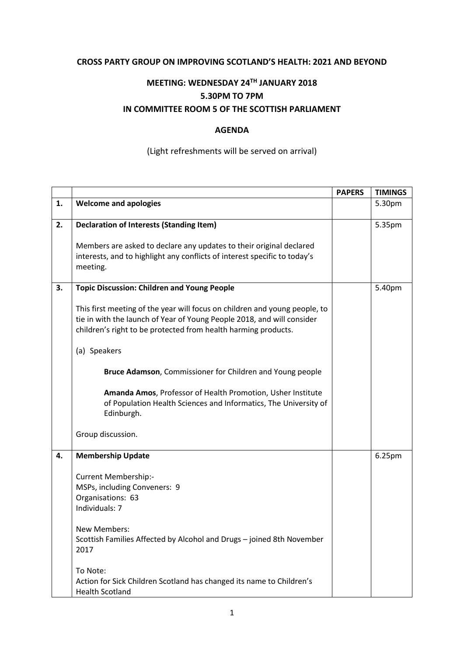## **CROSS PARTY GROUP ON IMPROVING SCOTLAND'S HEALTH: 2021 AND BEYOND**

## **MEETING: WEDNESDAY 24TH JANUARY 2018 5.30PM TO 7PM IN COMMITTEE ROOM 5 OF THE SCOTTISH PARLIAMENT**

## **AGENDA**

## (Light refreshments will be served on arrival)

|    |                                                                                                                                                                                                                        | <b>PAPERS</b> | <b>TIMINGS</b> |
|----|------------------------------------------------------------------------------------------------------------------------------------------------------------------------------------------------------------------------|---------------|----------------|
| 1. | <b>Welcome and apologies</b>                                                                                                                                                                                           |               | 5.30pm         |
| 2. | <b>Declaration of Interests (Standing Item)</b>                                                                                                                                                                        |               | 5.35pm         |
|    |                                                                                                                                                                                                                        |               |                |
|    | Members are asked to declare any updates to their original declared                                                                                                                                                    |               |                |
|    | interests, and to highlight any conflicts of interest specific to today's<br>meeting.                                                                                                                                  |               |                |
| 3. | <b>Topic Discussion: Children and Young People</b>                                                                                                                                                                     |               | 5.40pm         |
|    | This first meeting of the year will focus on children and young people, to<br>tie in with the launch of Year of Young People 2018, and will consider<br>children's right to be protected from health harming products. |               |                |
|    | (a) Speakers                                                                                                                                                                                                           |               |                |
|    | Bruce Adamson, Commissioner for Children and Young people                                                                                                                                                              |               |                |
|    | Amanda Amos, Professor of Health Promotion, Usher Institute<br>of Population Health Sciences and Informatics, The University of<br>Edinburgh.                                                                          |               |                |
|    | Group discussion.                                                                                                                                                                                                      |               |                |
| 4. | <b>Membership Update</b>                                                                                                                                                                                               |               | 6.25pm         |
|    | <b>Current Membership:-</b>                                                                                                                                                                                            |               |                |
|    | MSPs, including Conveners: 9                                                                                                                                                                                           |               |                |
|    | Organisations: 63                                                                                                                                                                                                      |               |                |
|    | Individuals: 7                                                                                                                                                                                                         |               |                |
|    | New Members:                                                                                                                                                                                                           |               |                |
|    | Scottish Families Affected by Alcohol and Drugs - joined 8th November<br>2017                                                                                                                                          |               |                |
|    | To Note:                                                                                                                                                                                                               |               |                |
|    | Action for Sick Children Scotland has changed its name to Children's<br><b>Health Scotland</b>                                                                                                                         |               |                |